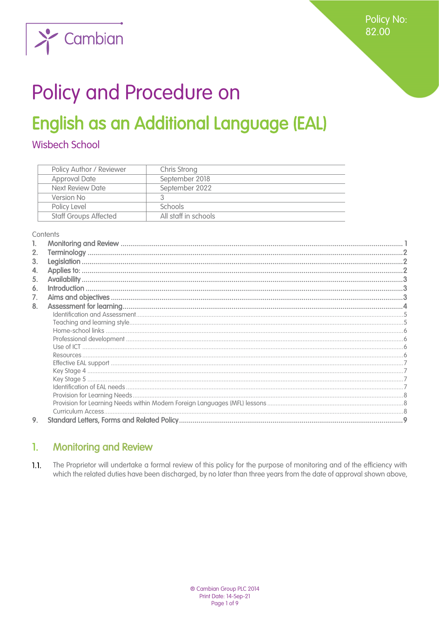

# Policy and Procedure on

## **English as an Additional Language (EAL)**

## **Wisbech School**

| Policy Author / Reviewer     | Chris Strong         |
|------------------------------|----------------------|
| <b>Approval Date</b>         | September 2018       |
| Next Review Date             | September 2022       |
| Version No                   |                      |
| Policy Level                 | <b>Schools</b>       |
| <b>Staff Groups Affected</b> | All staff in schools |

#### Contents

| 2. |  |
|----|--|
| 3. |  |
| 4. |  |
| 5. |  |
| 6. |  |
| 7. |  |
| 8. |  |
|    |  |
|    |  |
|    |  |
|    |  |
|    |  |
|    |  |
|    |  |
|    |  |
|    |  |
|    |  |
|    |  |
|    |  |
| 9. |  |
|    |  |

#### <span id="page-0-0"></span>**Monitoring and Review**  $\mathbf{1}$

 $1.1.$ The Proprietor will undertake a formal review of this policy for the purpose of monitoring and of the efficiency with which the related duties have been discharged, by no later than three years from the date of approval shown above,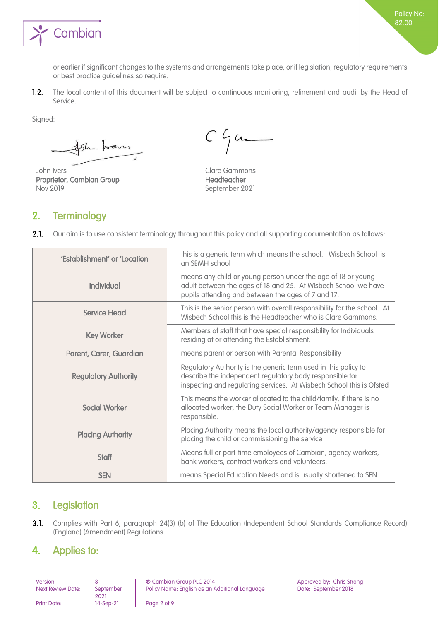

or earlier if significant changes to the systems and arrangements take place, or if legislation, regulatory requirements or best practice guidelines so require.

 $1.2.$ The local content of this document will be subject to continuous monitoring, refinement and audit by the Head of Service.

Signed:

the home

John Ivers **Clare Gammons** Proprietor, Cambian Group **Headteacher** Headteacher Nov 2019 September 2021

 $C$  game

## <span id="page-1-0"></span>2. Terminology

 $2.1.$ Our aim is to use consistent terminology throughout this policy and all supporting documentation as follows:

| 'Establishment' or 'Location | this is a generic term which means the school. Wisbech School is<br>an SEMH school                                                                                                                  |
|------------------------------|-----------------------------------------------------------------------------------------------------------------------------------------------------------------------------------------------------|
| <b>Individual</b>            | means any child or young person under the age of 18 or young<br>adult between the ages of 18 and 25. At Wisbech School we have<br>pupils attending and between the ages of 7 and 17.                |
| <b>Service Head</b>          | This is the senior person with overall responsibility for the school. At<br>Wisbech School this is the Headteacher who is Clare Gammons.                                                            |
| <b>Key Worker</b>            | Members of staff that have special responsibility for Individuals<br>residing at or attending the Establishment.                                                                                    |
| Parent, Carer, Guardian      | means parent or person with Parental Responsibility                                                                                                                                                 |
| <b>Regulatory Authority</b>  | Regulatory Authority is the generic term used in this policy to<br>describe the independent regulatory body responsible for<br>inspecting and regulating services. At Wisbech School this is Ofsted |
| <b>Social Worker</b>         | This means the worker allocated to the child/family. If there is no<br>allocated worker, the Duty Social Worker or Team Manager is<br>responsible.                                                  |
| <b>Placing Authority</b>     | Placing Authority means the local authority/agency responsible for<br>placing the child or commissioning the service                                                                                |
| <b>Staff</b>                 | Means full or part-time employees of Cambian, agency workers,<br>bank workers, contract workers and volunteers.                                                                                     |
| <b>SEN</b>                   | means Special Education Needs and is usually shortened to SEN.                                                                                                                                      |

## <span id="page-1-1"></span>3. Legislation

 $3.1.$ Complies with Part 6, paragraph 24(3) (b) of The Education (Independent School Standards Compliance Record) (England) (Amendment) Regulations.

## <span id="page-1-2"></span>4. Applies to:

Next Review Date: September

2021<br>14-Sep-21

Version: 3 ® Cambian Group PLC 2014 Approved by: Chris Strong Policy Name: English as an Additional Language Date: September 2018

Print Date: 14-Sep-21 Page 2 of 9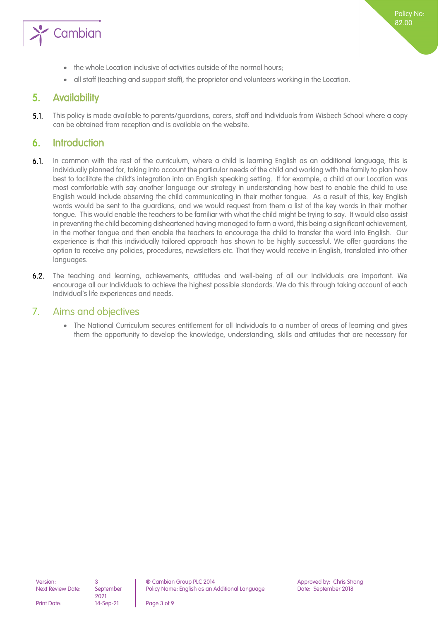

- the whole Location inclusive of activities outside of the normal hours;
- <span id="page-2-0"></span>• all staff (teaching and support staff), the proprietor and volunteers working in the Location.

## 5. Availability

 $5.1.$ This policy is made available to parents/guardians, carers, staff and Individuals from Wisbech School where a copy can be obtained from reception and is available on the website.

## <span id="page-2-1"></span>6. Introduction

- $6.1.$ In common with the rest of the curriculum, where a child is learning English as an additional language, this is individually planned for, taking into account the particular needs of the child and working with the family to plan how best to facilitate the child's integration into an English speaking setting. If for example, a child at our Location was most comfortable with say another language our strategy in understanding how best to enable the child to use English would include observing the child communicating in their mother tongue. As a result of this, key English words would be sent to the guardians, and we would request from them a list of the key words in their mother tongue. This would enable the teachers to be familiar with what the child might be trying to say. It would also assist in preventing the child becoming disheartened having managed to form a word, this being a significant achievement, in the mother tongue and then enable the teachers to encourage the child to transfer the word into English. Our experience is that this individually tailored approach has shown to be highly successful. We offer guardians the option to receive any policies, procedures, newsletters etc. That they would receive in English, translated into other languages.
- The teaching and learning, achievements, attitudes and well-being of all our Individuals are important. We  $6.2.$ encourage all our Individuals to achieve the highest possible standards. We do this through taking account of each Individual's life experiences and needs.

### <span id="page-2-2"></span>7. Aims and objectives

• The National Curriculum secures entitlement for all Individuals to a number of areas of learning and gives them the opportunity to develop the knowledge, understanding, skills and attitudes that are necessary for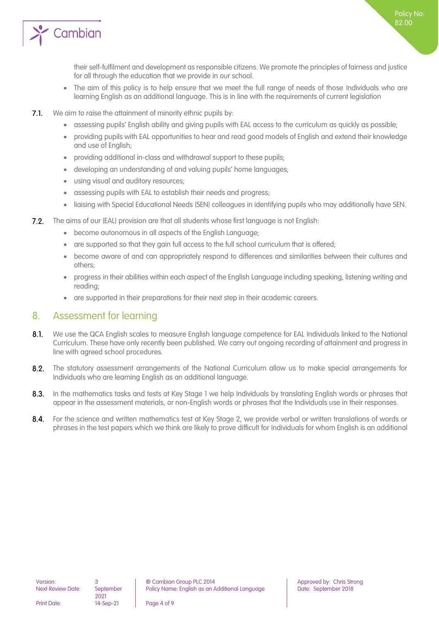

their self-fulfilment and development as responsible citizens. We promote the principles of fairness and justice for all through the education that we provide in our school.

- The aim of this policy is to help ensure that we meet the full range of needs of those Individuals who are learning English as an additional language. This is in line with the requirements of current legislation
- $7.1.$ We aim to raise the attainment of minority ethnic pupils by:
	- assessing pupils' English ability and giving pupils with EAL access to the curriculum as quickly as possible;
	- providing pupils with EAL opportunities to hear and read good models of English and extend their knowledge and use of English;
	- providing additional in-class and withdrawal support to these pupils;
	- developing an understanding of and valuing pupils' home languages;
	- using visual and auditory resources;
	- assessing pupils with EAL to establish their needs and progress;
	- liaising with Special Educational Needs (SEN) colleagues in identifying pupils who may additionally have SEN.
- The aims of our (EAL) provision are that all students whose first language is not English:  $7.2.$ 
	- become autonomous in all aspects of the English Language;
	- are supported so that they gain full access to the full school curriculum that is offered;
	- become aware of and can appropriately respond to differences and similarities between their cultures and others;
	- progress in their abilities within each aspect of the English Language including speaking, listening writing and reading;
	- are supported in their preparations for their next step in their academic careers.

## <span id="page-3-0"></span>8. Assessment for learning

- $8.1.$ We use the QCA English scales to measure English language competence for EAL Individuals linked to the National Curriculum. These have only recently been published. We carry out ongoing recording of attainment and progress in line with agreed school procedures.
- $8.2.$ The statutory assessment arrangements of the National Curriculum allow us to make special arrangements for Individuals who are learning English as an additional language.
- 8.3. In the mathematics tasks and tests at Key Stage 1 we help Individuals by translating English words or phrases that appear in the assessment materials, or non-English words or phrases that the Individuals use in their responses.
- $8.4.$ For the science and written mathematics test at Key Stage 2, we provide verbal or written translations of words or phrases in the test papers which we think are likely to prove difficult for Individuals for whom English is an additional

Print Date: 14-Sep-21 Page 4 of 9

2021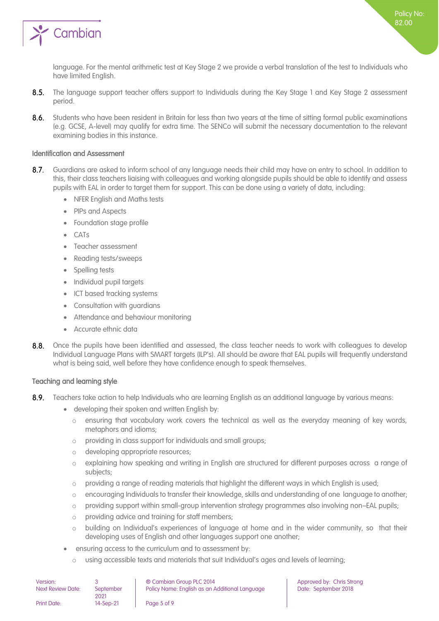

language. For the mental arithmetic test at Key Stage 2 we provide a verbal translation of the test to Individuals who have limited English.

- $8.5.$ The language support teacher offers support to Individuals during the Key Stage 1 and Key Stage 2 assessment period.
- $8.6.$ Students who have been resident in Britain for less than two years at the time of sitting formal public examinations (e.g. GCSE, A-level) may qualify for extra time. The SENCo will submit the necessary documentation to the relevant examining bodies in this instance.

#### <span id="page-4-0"></span>Identification and Assessment

- $8.7.$ Guardians are asked to inform school of any language needs their child may have on entry to school. In addition to this, their class teachers liaising with colleagues and working alongside pupils should be able to identify and assess pupils with EAL in order to target them for support. This can be done using a variety of data, including:
	- NFER English and Maths tests
	- PIPs and Aspects
	- Foundation stage profile
	- CATs
	- Teacher assessment
	- Reading tests/sweeps
	- Spelling tests
	- Individual pupil targets
	- ICT based tracking systems
	- Consultation with guardians
	- Attendance and behaviour monitoring
	- Accurate ethnic data
- Once the pupils have been identified and assessed, the class teacher needs to work with colleagues to develop  $8.8.$ Individual Language Plans with SMART targets (ILP's). All should be aware that EAL pupils will frequently understand what is being said, well before they have confidence enough to speak themselves.

#### <span id="page-4-1"></span>Teaching and learning style

- Teachers take action to help Individuals who are learning English as an additional language by various means:  $8.9.$ 
	- developing their spoken and written English by:
		- o ensuring that vocabulary work covers the technical as well as the everyday meaning of key words, metaphors and idioms;
		- o providing in class support for individuals and small groups;
		- o developing appropriate resources;
		- explaining how speaking and writing in English are structured for different purposes across a range of subjects;
		- o providing a range of reading materials that highlight the different ways in which English is used;
		- o encouraging Individuals to transfer their knowledge, skills and understanding of one language to another;
		- o providing support within small-group intervention strategy programmes also involving non–EAL pupils;
		- o providing advice and training for staff members;
		- o building on Individual's experiences of language at home and in the wider community, so that their developing uses of English and other languages support one another;
	- ensuring access to the curriculum and to assessment by:
		- o using accessible texts and materials that suit Individual's ages and levels of learning;

| Version:                 |                   | ® Cambian Group PLC 2014                       |
|--------------------------|-------------------|------------------------------------------------|
| <b>Next Review Date:</b> | September<br>2021 | Policy Name: English as an Additional Language |
| <b>Print Date:</b>       | 14-Sep-21         | Page 5 of 9                                    |

Approved by: Chris Strong Date: September 2018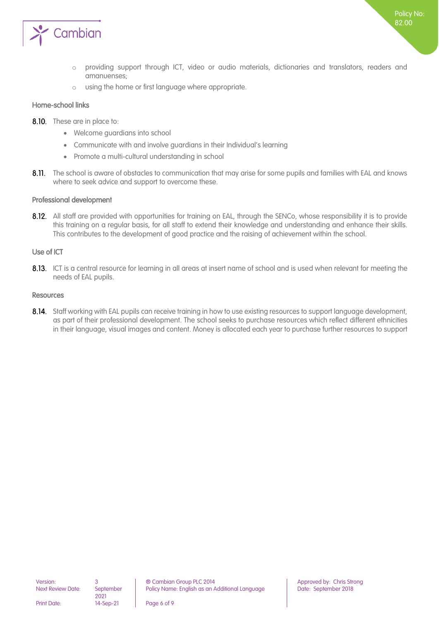

- o providing support through ICT, video or audio materials, dictionaries and translators, readers and amanuenses;
- o using the home or first language where appropriate.

#### <span id="page-5-0"></span>Home-school links

- 8.10. These are in place to:
	- Welcome guardians into school
	- Communicate with and involve guardians in their Individual's learning
	- Promote a multi-cultural understanding in school
- 8.11. The school is aware of obstacles to communication that may arise for some pupils and families with EAL and knows where to seek advice and support to overcome these.

#### <span id="page-5-1"></span>Professional development

8.12. All staff are provided with opportunities for training on EAL, through the SENCo, whose responsibility it is to provide this training on a regular basis, for all staff to extend their knowledge and understanding and enhance their skills. This contributes to the development of good practice and the raising of achievement within the school.

#### <span id="page-5-2"></span>Use of ICT

8.13. ICT is a central resource for learning in all areas at insert name of school and is used when relevant for meeting the needs of EAL pupils.

#### <span id="page-5-3"></span>Resources

8.14. Staff working with EAL pupils can receive training in how to use existing resources to support language development, as part of their professional development. The school seeks to purchase resources which reflect different ethnicities in their language, visual images and content. Money is allocated each year to purchase further resources to support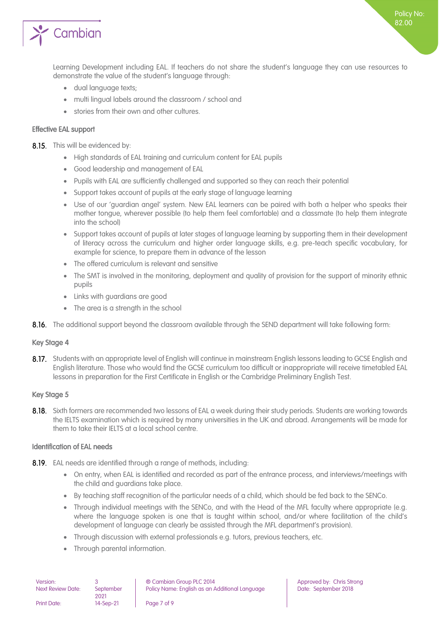

Policy No: 82.00

- dual language texts;
- multi lingual labels around the classroom / school and
- stories from their own and other cultures.

#### <span id="page-6-0"></span>Effective EAL support

8.15. This will be evidenced by:

- High standards of EAL training and curriculum content for EAL pupils
- Good leadership and management of EAL
- Pupils with EAL are sufficiently challenged and supported so they can reach their potential
- Support takes account of pupils at the early stage of language learning
- Use of our 'guardian angel' system. New EAL learners can be paired with both a helper who speaks their mother tongue, wherever possible (to help them feel comfortable) and a classmate (to help them integrate into the school)
- Support takes account of pupils at later stages of language learning by supporting them in their development of literacy across the curriculum and higher order language skills, e.g. pre-teach specific vocabulary, for example for science, to prepare them in advance of the lesson
- The offered curriculum is relevant and sensitive
- The SMT is involved in the monitoring, deployment and quality of provision for the support of minority ethnic pupils
- Links with guardians are good
- The area is a strength in the school
- 8.16. The additional support beyond the classroom available through the SEND department will take following form:

#### <span id="page-6-1"></span>Key Stage 4

8.17. Students with an appropriate level of English will continue in mainstream English lessons leading to GCSE English and English literature. Those who would find the GCSE curriculum too difficult or inappropriate will receive timetabled EAL lessons in preparation for the First Certificate in English or the Cambridge Preliminary English Test.

#### <span id="page-6-2"></span>Key Stage 5

8.18. Sixth formers are recommended two lessons of EAL a week during their study periods. Students are working towards the IELTS examination which is required by many universities in the UK and abroad. Arrangements will be made for them to take their IELTS at a local school centre.

#### <span id="page-6-3"></span>Identification of EAL needs

- 8.19. EAL needs are identified through a range of methods, including:
	- On entry, when EAL is identified and recorded as part of the entrance process, and interviews/meetings with the child and guardians take place.
	- By teaching staff recognition of the particular needs of a child, which should be fed back to the SENCo.
	- Through individual meetings with the SENCo, and with the Head of the MFL faculty where appropriate (e.g. where the language spoken is one that is taught within school, and/or where facilitation of the child's development of language can clearly be assisted through the MFL department's provision).
	- Through discussion with external professionals e.g. tutors, previous teachers, etc.
	- Through parental information.

| Version:                 |                   | ® Cambian Group PLC 2014                       |
|--------------------------|-------------------|------------------------------------------------|
| <b>Next Review Date:</b> | September<br>2021 | Policy Name: English as an Additional Language |
| <b>Print Date:</b>       | 14-Sep-21         | Page 7 of 9                                    |

Approved by: Chris Strong Date: September 2018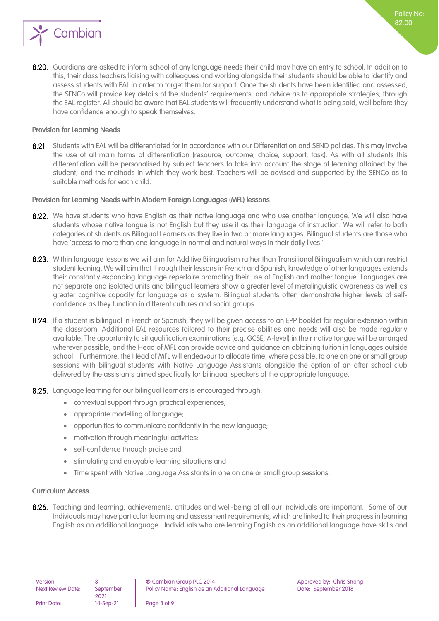

8.20. Guardians are asked to inform school of any language needs their child may have on entry to school. In addition to this, their class teachers liaising with colleagues and working alongside their students should be able to identify and assess students with EAL in order to target them for support. Once the students have been identified and assessed, the SENCo will provide key details of the students' requirements, and advice as to appropriate strategies, through the EAL register. All should be aware that EAL students will frequently understand what is being said, well before they have confidence enough to speak themselves.

#### <span id="page-7-0"></span>Provision for Learning Needs

8.21. Students with EAL will be differentiated for in accordance with our Differentiation and SEND policies. This may involve the use of all main forms of differentiation (resource, outcome, choice, support, task). As with all students this differentiation will be personalised by subject teachers to take into account the stage of learning attained by the student, and the methods in which they work best. Teachers will be advised and supported by the SENCo as to suitable methods for each child.

#### <span id="page-7-1"></span>Provision for Learning Needs within Modern Foreign Languages (MFL) lessons

- 8.22. We have students who have Enalish as their native language and who use another language. We will also have students whose native tongue is not English but they use it as their language of instruction. We will refer to both categories of students as Bilingual Learners as they live in two or more languages. Bilingual students are those who have 'access to more than one language in normal and natural ways in their daily lives.'
- 8.23. Within language lessons we will aim for Additive Bilingualism rather than Transitional Bilingualism which can restrict student leaning. We will aim that through their lessons in French and Spanish, knowledge of other languages extends their constantly expanding language repertoire promoting their use of English and mother tongue. Languages are not separate and isolated units and bilingual learners show a greater level of metalinguistic awareness as well as greater cognitive capacity for language as a system. Bilingual students often demonstrate higher levels of selfconfidence as they function in different cultures and social groups.
- 8.24. If a student is bilingual in French or Spanish, they will be given access to an EPP booklet for regular extension within the classroom. Additional EAL resources tailored to their precise abilities and needs will also be made regularly available. The opportunity to sit qualification examinations (e.g. GCSE, A-level) in their native tongue will be arranged wherever possible, and the Head of MFL can provide advice and guidance on obtaining tuition in languages outside school. Furthermore, the Head of MFL will endeavour to allocate time, where possible, to one on one or small group sessions with bilingual students with Native Language Assistants alongside the option of an after school club delivered by the assistants aimed specifically for bilingual speakers of the appropriate language.
- 8.25. Language learning for our bilingual learners is encouraged through:
	- contextual support through practical experiences;
	- appropriate modelling of language;
	- opportunities to communicate confidently in the new language;
	- motivation through meaningful activities;
	- self-confidence through praise and
	- stimulating and enjoyable learning situations and
	- Time spent with Native Language Assistants in one on one or small group sessions.

#### <span id="page-7-2"></span>Curriculum Access

8.26. Teaching and learning, achievements, attitudes and well-being of all our Individuals are important. Some of our Individuals may have particular learning and assessment requirements, which are linked to their progress in learning English as an additional language. Individuals who are learning English as an additional language have skills and

2021